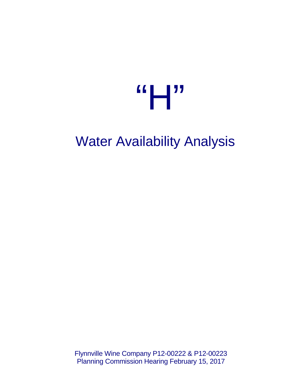

# Water Availability Analysis

Flynnville Wine Company P12-00222 & P12-00223 Planning Commission Hearing February 15, 2017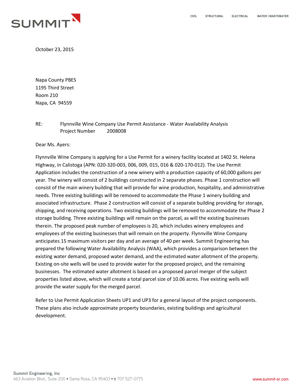

October 23, 2015

Napa County PBES 1195 Third Street Room 210 Napa, CA 94559

RE: Flynnville Wine Company Use Permit Assistance - Water Availability Analysis Project Number 2008008

Dear Ms. Ayers:

Flynnville Wine Company is applying for a Use Permit for a winery facility located at 1402 St. Helena Highway, in Calistoga (APN: 020-320-003, 006, 009, 015, 016 & 020-170-012). The Use Permit Application includes the construction of a new winery with a production capacity of 60,000 gallons per year. The winery will consist of 2 buildings constructed in 2 separate phases. Phase 1 construction will consist of the main winery building that will provide for wine production, hospitality, and administrative needs. Three existing buildings will be removed to accommodate the Phase 1 winery building and associated infrastructure. Phase 2 construction will consist of a separate building providing for storage, shipping, and receiving operations. Two existing buildings will be removed to accommodate the Phase 2 storage building. Three existing buildings will remain on the parcel, as will the existing businesses therein. The proposed peak number of employees is 20, which includes winery employees and employees of the existing businesses that will remain on the property. Flynnville Wine Company anticipates 15 maximum visitors per day and an average of 40 per week. Summit Engineering has prepared the following Water Availability Analysis (WAA), which provides a comparison between the existing water demand, proposed water demand, and the estimated water allotment of the property. Existing on-site wells will be used to provide water for the proposed project, and the remaining businesses. The estimated water allotment is based on a proposed parcel merger of the subject properties listed above, which will create a total parcel size of 10.06 acres. Five existing wells will provide the water supply for the merged parcel.

Refer to Use Permit Application Sheets UP1 and UP3 for a general layout of the project components. These plans also include approximate property boundaries, existing buildings and agricultural development.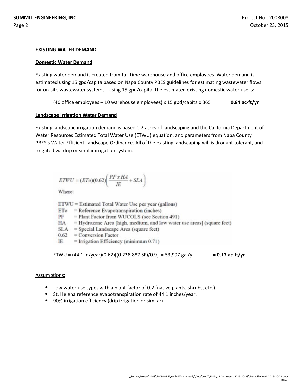#### **EXISTING WATER DEMAND**

## **Domestic Water Demand**

Existing water demand is created from full time warehouse and office employees. Water demand is estimated using 15 gpd/capita based on Napa County PBES guidelines for estimating wastewater flows for on-site wastewater systems. Using 15 gpd/capita, the estimated existing domestic water use is:

(40 office employees + 10 warehouse employees) x 15 gpd/capita x 365 = **0.84 ac-ft/yr**

## **Landscape Irrigation Water Demand**

Existing landscape irrigation demand is based 0.2 acres of landscaping and the California Department of Water Resources Estimated Total Water Use (ETWU) equation, and parameters from Napa County PBES's Water Efficient Landscape Ordinance. All of the existing landscaping will is drought tolerant, and irrigated via drip or similar irrigation system.

$$
ETWU = (ETo)(0.62) \left( \frac{PF \times HA}{IE} + SLA \right)
$$

Where:

ETWU = Estimated Total Water Use per year (gallons)

 $ETo = Reference Evaporanspiration (inches)$ 

PF = Plant Factor from WUCOLS (see Section 491)

HA = Hydrozone Area [high, medium, and low water use areas] (square feet)

 $SLA = Special$  Landscape Area (square feet)

 $0.62 =$  Conversion Factor

IE  $=$  Irrigation Efficiency (minimum  $0.71$ )

ETWU =  $(44.1 \text{ in/year})$  $(0.62)$  $[(0.2 * 8.887 SF)/0.9] = 53.997 \text{ gal/yr}$  = 0.17 ac-ft/yr

#### Assumptions:

- Low water use types with a plant factor of 0.2 (native plants, shrubs, etc.).
- St. Helena reference evapotranspiration rate of 44.1 inches/year.
- 90% irrigation efficiency (drip irrigation or similar)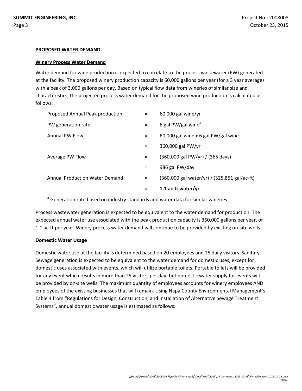#### **PROPOSED WATER DEMAND**

#### **Winery Process Water Demand**

Water demand for wine production is expected to correlate to the process wastewater (PW) generated at the facility. The proposed winery production capacity is 60,000 gallons per year (for a 3 year average) with a peak of 3,000 gallons per day. Based on typical flow data from wineries of similar size and characteristics, the projected process water demand for the proposed wine production is calculated as follows:

| Proposed Annual Peak production       | $=$      | $60,000$ gal wine/yr                         |
|---------------------------------------|----------|----------------------------------------------|
| PW generation rate                    | $=$      | 6 gal PW/gal wine <sup>a</sup>               |
| <b>Annual PW Flow</b>                 | $=$      | 60,000 gal wine x 6 gal PW/gal wine          |
|                                       | $=$      | 360,000 gal PW/yr                            |
| Average PW Flow                       | $\equiv$ | (360,000 gal PW/yr) / (365 days)             |
|                                       | Ξ        | 986 gal PW/day                               |
| <b>Annual Production Water Demand</b> | $=$      | (360,000 gal water/yr) / (325,851 gal/ac-ft) |
|                                       | $=$      | 1.1 ac-ft water/yr                           |

<sup>a</sup> Generation rate based on industry standards and water data for similar wineries

Process wastewater generation is expected to be equivalent to the water demand for production. The expected annual water use associated with the peak production capacity is 360,000 gallons per year, or 1.1 ac-ft per year. Winery process water demand will continue to be provided by existing on-site wells.

#### **Domestic Water Usage**

Domestic water use at the facility is determined based on 20 employees and 25 daily visitors. Sanitary Sewage generation is expected to be equivalent to the water demand for domestic uses, except for domestic uses associated with events, which will utilize portable toilets. Portable toilets will be provided for any event which results in more than 25 visitors per day, but domestic water supply for events will be provided by on-site wells. The maximum quantity of employees accounts for winery employees AND employees of the existing businesses that will remain. Using Napa County Environmental Management's Table 4 from "Regulations for Design, Construction, and Installation of Alternative Sewage Treatment Systems", annual domestic water usage is estimated as follows: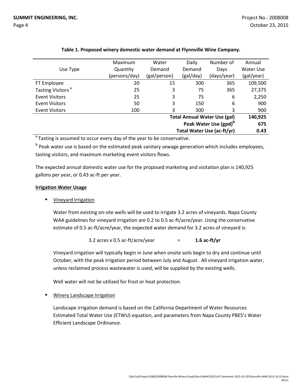|                                                                 | Maximum       | Water        | Daily     | Number of   | Annual     |
|-----------------------------------------------------------------|---------------|--------------|-----------|-------------|------------|
| Use Type                                                        | Quantity      | Demand       | Demand    | Days        | Water Use  |
|                                                                 | (persons/day) | (gal/person) | (gal/day) | (days/year) | (gal/year) |
| FT Employee                                                     | 20            | 15           | 300       | 365         | 109,500    |
| Tasting Visitors <sup>a</sup>                                   | 25            | 3            | 75        | 365         | 27,375     |
| <b>Event Visitors</b>                                           | 25            | 3            | 75        | 6           | 2,250      |
| <b>Event Visitors</b>                                           | 50            | 3            | 150       | 6           | 900        |
| Event Visitors                                                  | 100           | 3            | 300       | 3           | 900        |
| <b>Total Annual Water Use (gal)</b>                             |               |              |           |             | 140,925    |
| Peak Water Use (gpd) <sup>b</sup><br>Total Water Use (ac-ft/yr) |               |              |           |             | 675        |
|                                                                 |               |              |           |             | 0.43       |

# **Table 1. Proposed winery domestic water demand at Flynnville Wine Company.**

<sup>a</sup> Tasting is assumed to occur every day of the year to be conservative.

<sup>b</sup> Peak water use is based on the estimated peak sanitary sewage generation which includes employees, tasting visitors, and maximum marketing event visitors flows.

The expected annual domestic water use for the proposed marketing and visitation plan is 140,925 gallons per year, or 0.43 ac-ft per year.

# **Irrigation Water Usage**

Vineyard Irrigation

Water from existing on-site wells will be used to irrigate 3.2 acres of vineyards. Napa County WAA guidelines for vineyard irrigation are 0.2 to 0.5 ac-ft/acre/year. Using the conservative estimate of 0.5 ac-ft/acre/year, the expected water demand for 3.2 acres of vineyard is:

3.2 acres x 0.5 ac-ft/acre/year  $=$  **1.6 ac-ft/yr** 

Vineyard irrigation will typically begin in June when onsite soils begin to dry and continue until October, with the peak irrigation period between July and August. All vineyard irrigation water, unless reclaimed process wastewater is used, will be supplied by the existing wells.

Well water will not be utilized for frost or heat protection.

Winery Landscape Irrigation

Landscape irrigation demand is based on the California Department of Water Resources Estimated Total Water Use (ETWU) equation, and parameters from Napa County PBES's Water Efficient Landscape Ordinance.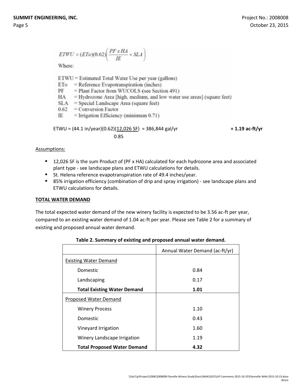$$
ETWU = (ETo)(0.62) \left( \frac{PF \times HA}{IE} + SLA \right)
$$

Where:

ETWU = Estimated Total Water Use per year (gallons)

- $=$  Reference Evapotranspiration (inches) ETo
- PF = Plant Factor from WUCOLS (see Section 491)
- = Hydrozone Area [high, medium, and low water use areas] (square feet) HA
- $SLA$  = Special Landscape Area (square feet)
- $0.62 =$  Conversion Factor
- IE  $=$  Irrigation Efficiency (minimum 0.71)

$$
ETWU = (44.1 in/year)(0.62)(12,026 SF) = 386,844 gal/yr = 1.19 ac-ft/yr
$$

# Assumptions:

- 12,026 SF is the sum Product of (PF x HA) calculated for each hydrozone area and associated plant type - see landscape plans and ETWU calculations for details.
- St. Helena reference evapotranspiration rate of 49.4 inches/year.
- 85% irrigation efficiency (combination of drip and spray irrigation) see landscape plans and ETWU calculations for details.

# **TOTAL WATER DEMAND**

The total expected water demand of the new winery facility is expected to be 3.56 ac-ft per year, compared to an existing water demand of 1.04 ac-ft per year. Please see Table 2 for a summary of existing and proposed annual water demand.

|                                    | Annual Water Demand (ac-ft/yr) |  |  |
|------------------------------------|--------------------------------|--|--|
| <b>Existing Water Demand</b>       |                                |  |  |
| Domestic                           | 0.84                           |  |  |
| Landscaping                        | 0.17                           |  |  |
| <b>Total Existing Water Demand</b> | 1.01                           |  |  |
| Proposed Water Demand              |                                |  |  |
| <b>Winery Process</b>              | 1.10                           |  |  |
| Domestic                           | 0.43                           |  |  |
| Vineyard Irrigation                | 1.60                           |  |  |
| Winery Landscape Irrigation        | 1.19                           |  |  |
| <b>Total Proposed Water Demand</b> | 4.32                           |  |  |

# **Table 2. Summary of existing and proposed annual water demand.**